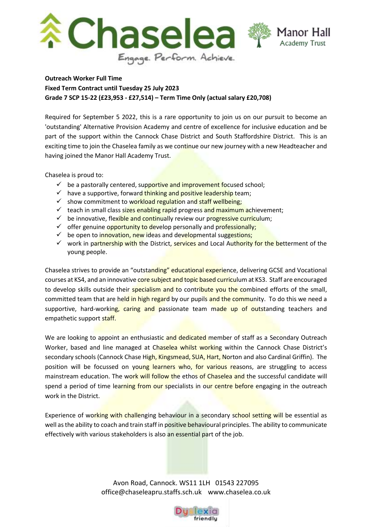

**Outreach Worker Full Time Fixed Term Contract until Tuesday 25 July 2023 Grade 7 SCP 15-22 (£23,953 - £27,514) – Term Time Only (actual salary £20,708)**

Required for September 5 2022, this is a rare opportunity to join us on our pursuit to become an 'outstanding' Alternative Provision Academy and centre of excellence for inclusive education and be part of the support within the Cannock Chase District and South Staffordshire District. This is an exciting time to join the Chaselea family as we continue our new journey with a new Headteacher and having joined the Manor Hall Academy Trust.

Chaselea is proud to:

- $\checkmark$  be a pastorally centered, supportive and improvement focused school;
- $\checkmark$  have a supportive, forward thinking and positive leadership team;
- $\checkmark$  show commitment to workload regulation and staff wellbeing;
- $\checkmark$  teach in small class sizes enabling rapid progress and maximum achievement;
- $\checkmark$  be innovative, flexible and continually review our progressive curriculum;
- $\checkmark$  offer genuine opportunity to develop personally and professionally;
- $\checkmark$  be open to innovation, new ideas and developmental suggestions;
- work in partnership with the District, services and Local Authority for the betterment of the young people.

Chaselea strives to provide an "outstanding" educational experience, delivering GCSE and Vocational courses at KS4, and an innovative core subject and topic based curriculum at KS3. Staff are encouraged to develop skills outside their specialism and to contribute you the combined efforts of the small, committed team that are held in high regard by our pupils and the community. To do this we need a supportive, hard-working, caring and passionate team made up of outstanding teachers and empathetic support staff.

We are looking to appoint an enthusiastic and dedicated member of staff as a Secondary Outreach Worker, based and line managed at Chaselea whilst working within the Cannock Chase District's secondary schools (Cannock Chase High, Kingsmead, SUA, Hart, Norton and also Cardinal Griffin). The position will be focussed on young learners who, for various reasons, are struggling to access mainstream education. The work will follow the ethos of Chaselea and the successful candidate will spend a period of time learning from our specialists in our centre before engaging in the outreach work in the District.

Experience of working with challenging behaviour in a secondary school setting will be essential as well as the ability to coach and train staff in positive behavioural principles. The ability to communicate effectively with various stakeholders is also an essential part of the job.

> Avon Road, Cannock. WS11 1LH 01543 227095 office@chaseleapru.staffs.sch.uk www.chaselea.co.uk